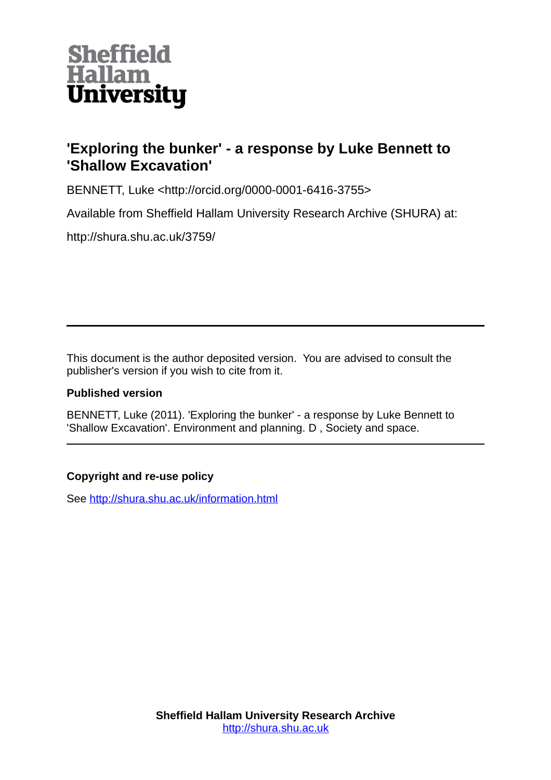

## **'Exploring the bunker' - a response by Luke Bennett to 'Shallow Excavation'**

BENNETT, Luke <http://orcid.org/0000-0001-6416-3755>

Available from Sheffield Hallam University Research Archive (SHURA) at:

http://shura.shu.ac.uk/3759/

This document is the author deposited version. You are advised to consult the publisher's version if you wish to cite from it.

## **Published version**

BENNETT, Luke (2011). 'Exploring the bunker' - a response by Luke Bennett to 'Shallow Excavation'. Environment and planning. D , Society and space.

## **Copyright and re-use policy**

See<http://shura.shu.ac.uk/information.html>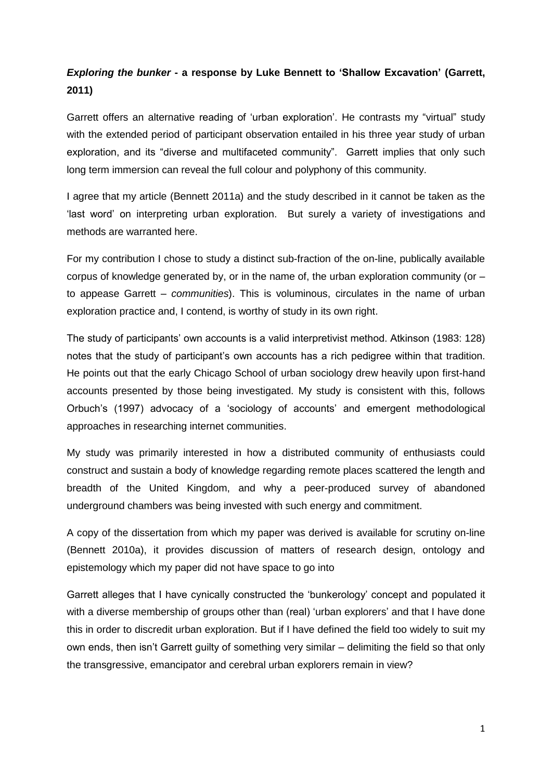## *Exploring the bunker* **- a response by Luke Bennett to 'Shallow Excavation' (Garrett, 2011)**

Garrett offers an alternative reading of "urban exploration". He contrasts my "virtual" study with the extended period of participant observation entailed in his three year study of urban exploration, and its "diverse and multifaceted community". Garrett implies that only such long term immersion can reveal the full colour and polyphony of this community.

I agree that my article (Bennett 2011a) and the study described in it cannot be taken as the "last word" on interpreting urban exploration. But surely a variety of investigations and methods are warranted here.

For my contribution I chose to study a distinct sub-fraction of the on-line, publically available corpus of knowledge generated by, or in the name of, the urban exploration community (or  $$ to appease Garrett – *communities*). This is voluminous, circulates in the name of urban exploration practice and, I contend, is worthy of study in its own right.

The study of participants" own accounts is a valid interpretivist method. Atkinson (1983: 128) notes that the study of participant"s own accounts has a rich pedigree within that tradition. He points out that the early Chicago School of urban sociology drew heavily upon first-hand accounts presented by those being investigated. My study is consistent with this, follows Orbuch"s (1997) advocacy of a "sociology of accounts" and emergent methodological approaches in researching internet communities.

My study was primarily interested in how a distributed community of enthusiasts could construct and sustain a body of knowledge regarding remote places scattered the length and breadth of the United Kingdom, and why a peer-produced survey of abandoned underground chambers was being invested with such energy and commitment.

A copy of the dissertation from which my paper was derived is available for scrutiny on-line (Bennett 2010a), it provides discussion of matters of research design, ontology and epistemology which my paper did not have space to go into

Garrett alleges that I have cynically constructed the "bunkerology" concept and populated it with a diverse membership of groups other than (real) 'urban explorers' and that I have done this in order to discredit urban exploration. But if I have defined the field too widely to suit my own ends, then isn"t Garrett guilty of something very similar – delimiting the field so that only the transgressive, emancipator and cerebral urban explorers remain in view?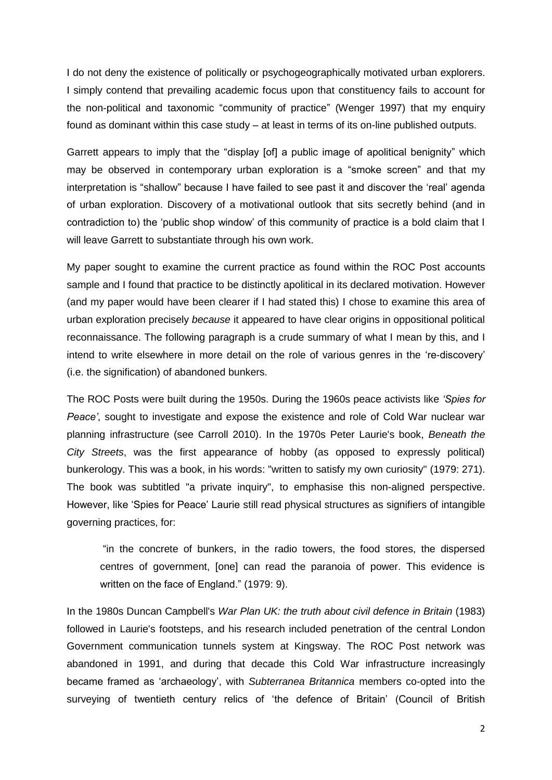I do not deny the existence of politically or psychogeographically motivated urban explorers. I simply contend that prevailing academic focus upon that constituency fails to account for the non-political and taxonomic "community of practice" (Wenger 1997) that my enquiry found as dominant within this case study – at least in terms of its on-line published outputs.

Garrett appears to imply that the "display [of] a public image of apolitical benignity" which may be observed in contemporary urban exploration is a "smoke screen" and that my interpretation is "shallow" because I have failed to see past it and discover the "real" agenda of urban exploration. Discovery of a motivational outlook that sits secretly behind (and in contradiction to) the "public shop window" of this community of practice is a bold claim that I will leave Garrett to substantiate through his own work.

My paper sought to examine the current practice as found within the ROC Post accounts sample and I found that practice to be distinctly apolitical in its declared motivation. However (and my paper would have been clearer if I had stated this) I chose to examine this area of urban exploration precisely *because* it appeared to have clear origins in oppositional political reconnaissance. The following paragraph is a crude summary of what I mean by this, and I intend to write elsewhere in more detail on the role of various genres in the "re-discovery" (i.e. the signification) of abandoned bunkers.

The ROC Posts were built during the 1950s. During the 1960s peace activists like *'Spies for Peace'*, sought to investigate and expose the existence and role of Cold War nuclear war planning infrastructure (see Carroll 2010). In the 1970s Peter Laurie's book, *Beneath the City Streets*, was the first appearance of hobby (as opposed to expressly political) bunkerology. This was a book, in his words: "written to satisfy my own curiosity" (1979: 271). The book was subtitled "a private inquiry", to emphasise this non-aligned perspective. However, like "Spies for Peace" Laurie still read physical structures as signifiers of intangible governing practices, for:

"in the concrete of bunkers, in the radio towers, the food stores, the dispersed centres of government, [one] can read the paranoia of power. This evidence is written on the face of England." (1979: 9).

In the 1980s Duncan Campbell's *War Plan UK: the truth about civil defence in Britain* (1983) followed in Laurie's footsteps, and his research included penetration of the central London Government communication tunnels system at Kingsway. The ROC Post network was abandoned in 1991, and during that decade this Cold War infrastructure increasingly became framed as "archaeology", with *Subterranea Britannica* members co-opted into the surveying of twentieth century relics of "the defence of Britain" (Council of British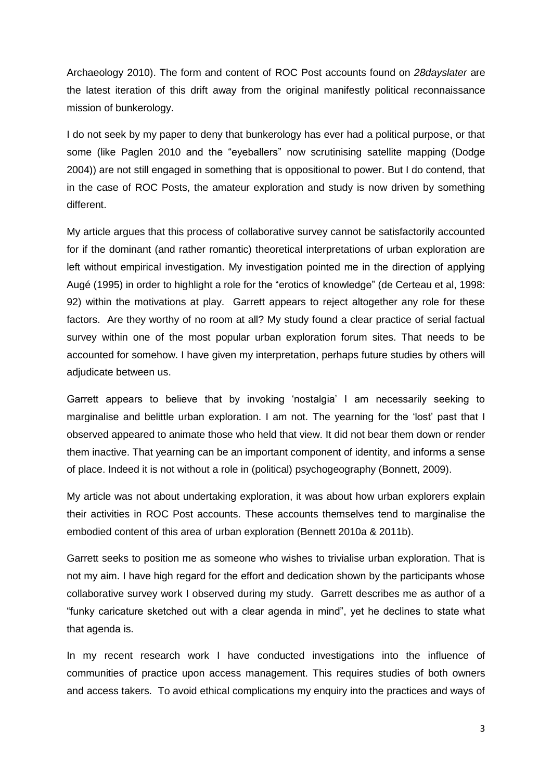Archaeology 2010). The form and content of ROC Post accounts found on *28dayslater* are the latest iteration of this drift away from the original manifestly political reconnaissance mission of bunkerology.

I do not seek by my paper to deny that bunkerology has ever had a political purpose, or that some (like Paglen 2010 and the "eyeballers" now scrutinising satellite mapping (Dodge 2004)) are not still engaged in something that is oppositional to power. But I do contend, that in the case of ROC Posts, the amateur exploration and study is now driven by something different.

My article argues that this process of collaborative survey cannot be satisfactorily accounted for if the dominant (and rather romantic) theoretical interpretations of urban exploration are left without empirical investigation. My investigation pointed me in the direction of applying Augé (1995) in order to highlight a role for the "erotics of knowledge" (de Certeau et al, 1998: 92) within the motivations at play. Garrett appears to reject altogether any role for these factors. Are they worthy of no room at all? My study found a clear practice of serial factual survey within one of the most popular urban exploration forum sites. That needs to be accounted for somehow. I have given my interpretation, perhaps future studies by others will adjudicate between us.

Garrett appears to believe that by invoking "nostalgia" I am necessarily seeking to marginalise and belittle urban exploration. I am not. The yearning for the "lost" past that I observed appeared to animate those who held that view. It did not bear them down or render them inactive. That yearning can be an important component of identity, and informs a sense of place. Indeed it is not without a role in (political) psychogeography (Bonnett, 2009).

My article was not about undertaking exploration, it was about how urban explorers explain their activities in ROC Post accounts. These accounts themselves tend to marginalise the embodied content of this area of urban exploration (Bennett 2010a & 2011b).

Garrett seeks to position me as someone who wishes to trivialise urban exploration. That is not my aim. I have high regard for the effort and dedication shown by the participants whose collaborative survey work I observed during my study. Garrett describes me as author of a "funky caricature sketched out with a clear agenda in mind", yet he declines to state what that agenda is.

In my recent research work I have conducted investigations into the influence of communities of practice upon access management. This requires studies of both owners and access takers. To avoid ethical complications my enquiry into the practices and ways of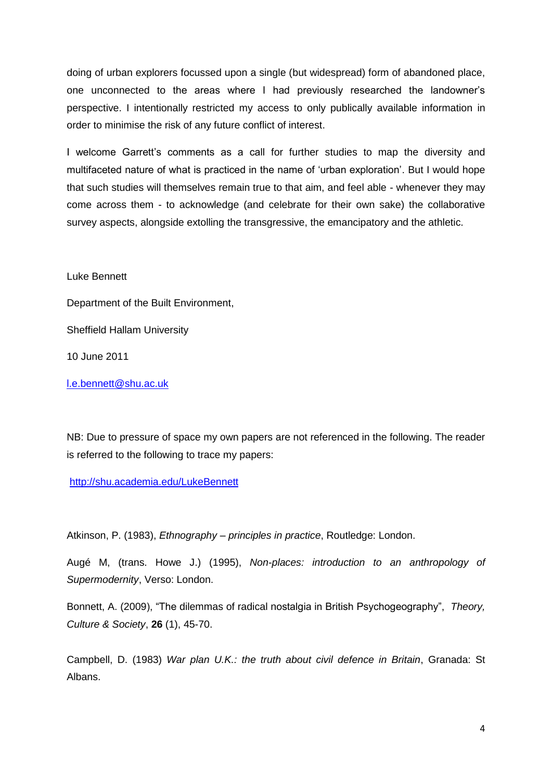doing of urban explorers focussed upon a single (but widespread) form of abandoned place, one unconnected to the areas where I had previously researched the landowner"s perspective. I intentionally restricted my access to only publically available information in order to minimise the risk of any future conflict of interest.

I welcome Garrett's comments as a call for further studies to map the diversity and multifaceted nature of what is practiced in the name of "urban exploration". But I would hope that such studies will themselves remain true to that aim, and feel able - whenever they may come across them - to acknowledge (and celebrate for their own sake) the collaborative survey aspects, alongside extolling the transgressive, the emancipatory and the athletic.

Luke Bennett

Department of the Built Environment,

Sheffield Hallam University

10 June 2011

[l.e.bennett@shu.ac.uk](mailto:l.e.bennett@shu.ac.uk)

NB: Due to pressure of space my own papers are not referenced in the following. The reader is referred to the following to trace my papers:

<http://shu.academia.edu/LukeBennett>

Atkinson, P. (1983), *Ethnography – principles in practice*, Routledge: London.

Augé M, (trans. Howe J.) (1995), *Non-places: introduction to an anthropology of Supermodernity*, Verso: London.

Bonnett, A. (2009), "The dilemmas of radical nostalgia in British Psychogeography", *Theory, Culture & Society*, **26** (1), 45-70.

Campbell, D. (1983) *War plan U.K.: the truth about civil defence in Britain*, Granada: St Albans.